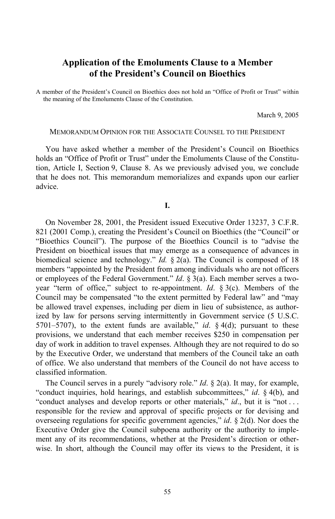# **Application of the Emoluments Clause to a Member of the President's Council on Bioethics**

A member of the President's Council on Bioethics does not hold an "Office of Profit or Trust" within the meaning of the Emoluments Clause of the Constitution.

March 9, 2005

#### MEMORANDUM OPINION FOR THE ASSOCIATE COUNSEL TO THE PRESIDENT

You have asked whether a member of the President's Council on Bioethics holds an "Office of Profit or Trust" under the Emoluments Clause of the Constitution, Article I, Section 9, Clause 8. As we previously advised you, we conclude that he does not. This memorandum memorializes and expands upon our earlier advice.

**I.** 

On November 28, 2001, the President issued Executive Order 13237, 3 C.F.R. 821 (2001 Comp.), creating the President's Council on Bioethics (the "Council" or "Bioethics Council"). The purpose of the Bioethics Council is to "advise the President on bioethical issues that may emerge as a consequence of advances in biomedical science and technology." *Id.* § 2(a). The Council is composed of 18 members "appointed by the President from among individuals who are not officers or employees of the Federal Government." *Id*. § 3(a). Each member serves a twoyear "term of office," subject to re-appointment. *Id*. § 3(c). Members of the Council may be compensated "to the extent permitted by Federal law" and "may be allowed travel expenses, including per diem in lieu of subsistence, as authorized by law for persons serving intermittently in Government service (5 U.S.C. 5701–5707), to the extent funds are available," *id*. § 4(d); pursuant to these provisions, we understand that each member receives \$250 in compensation per day of work in addition to travel expenses. Although they are not required to do so by the Executive Order, we understand that members of the Council take an oath of office. We also understand that members of the Council do not have access to classified information.

The Council serves in a purely "advisory role." *Id*. § 2(a). It may, for example, "conduct inquiries, hold hearings, and establish subcommittees," *id*. § 4(b), and "conduct analyses and develop reports or other materials," *id*., but it is "not ... responsible for the review and approval of specific projects or for devising and overseeing regulations for specific government agencies," *id*. § 2(d). Nor does the Executive Order give the Council subpoena authority or the authority to implement any of its recommendations, whether at the President's direction or otherwise. In short, although the Council may offer its views to the President, it is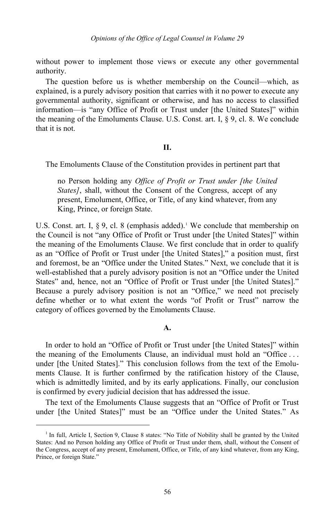without power to implement those views or execute any other governmental authority.

The question before us is whether membership on the Council—which, as explained, is a purely advisory position that carries with it no power to execute any governmental authority, significant or otherwise, and has no access to classified information—is "any Office of Profit or Trust under [the United States]" within the meaning of the Emoluments Clause. U.S. Const. art. I, § 9, cl. 8. We conclude that it is not.

### **II.**

The Emoluments Clause of the Constitution provides in pertinent part that

no Person holding any *Office of Profit or Trust under [the United States]*, shall, without the Consent of the Congress, accept of any present, Emolument, Office, or Title, of any kind whatever, from any King, Prince, or foreign State.

U.S. Const. art. I,  $\S$  9, cl. 8 (emphasis added).<sup>[1](#page-1-0)</sup> We conclude that membership on the Council is not "any Office of Profit or Trust under [the United States]" within the meaning of the Emoluments Clause. We first conclude that in order to qualify as an "Office of Profit or Trust under [the United States]," a position must, first and foremost, be an "Office under the United States." Next, we conclude that it is well-established that a purely advisory position is not an "Office under the United States" and, hence, not an "Office of Profit or Trust under [the United States]." Because a purely advisory position is not an "Office," we need not precisely define whether or to what extent the words "of Profit or Trust" narrow the category of offices governed by the Emoluments Clause.

### **A.**

In order to hold an "Office of Profit or Trust under [the United States]" within the meaning of the Emoluments Clause, an individual must hold an "Office . . . under [the United States]." This conclusion follows from the text of the Emoluments Clause. It is further confirmed by the ratification history of the Clause, which is admittedly limited, and by its early applications. Finally, our conclusion is confirmed by every judicial decision that has addressed the issue.

The text of the Emoluments Clause suggests that an "Office of Profit or Trust under [the United States]" must be an "Office under the United States." As

<span id="page-1-0"></span><sup>&</sup>lt;sup>1</sup> In full, Article I, Section 9, Clause 8 states: "No Title of Nobility shall be granted by the United States: And no Person holding any Office of Profit or Trust under them, shall, without the Consent of the Congress, accept of any present, Emolument, Office, or Title, of any kind whatever, from any King, Prince, or foreign State."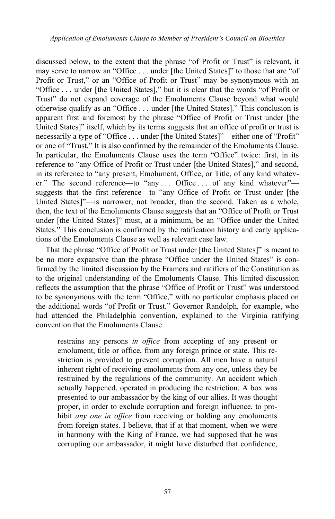discussed below, to the extent that the phrase "of Profit or Trust" is relevant, it may serve to narrow an "Office . . . under [the United States]" to those that are "of Profit or Trust," or an "Office of Profit or Trust" may be synonymous with an "Office . . . under [the United States]," but it is clear that the words "of Profit or Trust" do not expand coverage of the Emoluments Clause beyond what would otherwise qualify as an "Office . . . under [the United States]." This conclusion is apparent first and foremost by the phrase "Office of Profit or Trust under [the United States]" itself, which by its terms suggests that an office of profit or trust is necessarily a type of "Office . . . under [the United States]"—either one of "Profit" or one of "Trust." It is also confirmed by the remainder of the Emoluments Clause. In particular, the Emoluments Clause uses the term "Office" twice: first, in its reference to "any Office of Profit or Trust under [the United States]," and second, in its reference to "any present, Emolument, Office, or Title, of any kind whatever." The second reference—to "any ... Office ... of any kind whatever" suggests that the first reference—to "any Office of Profit or Trust under [the United States]"—is narrower, not broader, than the second. Taken as a whole, then, the text of the Emoluments Clause suggests that an "Office of Profit or Trust under [the United States]" must, at a minimum, be an "Office under the United States." This conclusion is confirmed by the ratification history and early applications of the Emoluments Clause as well as relevant case law.

That the phrase "Office of Profit or Trust under [the United States]" is meant to be no more expansive than the phrase "Office under the United States" is confirmed by the limited discussion by the Framers and ratifiers of the Constitution as to the original understanding of the Emoluments Clause. This limited discussion reflects the assumption that the phrase "Office of Profit or Trust" was understood to be synonymous with the term "Office," with no particular emphasis placed on the additional words "of Profit or Trust." Governor Randolph, for example, who had attended the Philadelphia convention, explained to the Virginia ratifying convention that the Emoluments Clause

restrains any persons *in office* from accepting of any present or emolument, title or office, from any foreign prince or state. This restriction is provided to prevent corruption. All men have a natural inherent right of receiving emoluments from any one, unless they be restrained by the regulations of the community. An accident which actually happened, operated in producing the restriction. A box was presented to our ambassador by the king of our allies. It was thought proper, in order to exclude corruption and foreign influence, to prohibit *any one in office* from receiving or holding any emoluments from foreign states. I believe, that if at that moment, when we were in harmony with the King of France, we had supposed that he was corrupting our ambassador, it might have disturbed that confidence,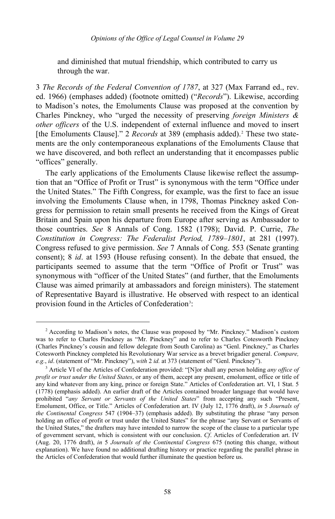and diminished that mutual friendship, which contributed to carry us through the war.

3 *The Records of the Federal Convention of 1787*, at 327 (Max Farrand ed., rev. ed. 1966) (emphases added) (footnote omitted) ("*Records*"). Likewise, according to Madison's notes, the Emoluments Clause was proposed at the convention by Charles Pinckney, who "urged the necessity of preserving *foreign Ministers & other officers* of the U.S. independent of external influence and moved to insert [the Emoluments Clause]." [2](#page-3-0) *Records* at 389 (emphasis added).<sup>2</sup> These two statements are the only contemporaneous explanations of the Emoluments Clause that we have discovered, and both reflect an understanding that it encompasses public "offices" generally.

The early applications of the Emoluments Clause likewise reflect the assumption that an "Office of Profit or Trust" is synonymous with the term "Office under the United States." The Fifth Congress, for example, was the first to face an issue involving the Emoluments Clause when, in 1798, Thomas Pinckney asked Congress for permission to retain small presents he received from the Kings of Great Britain and Spain upon his departure from Europe after serving as Ambassador to those countries. *See* 8 Annals of Cong. 1582 (1798); David. P. Currie, *The Constitution in Congress: The Federalist Period, 1789–1801*, at 281 (1997). Congress refused to give permission. *See* 7 Annals of Cong. 553 (Senate granting consent); 8 *id*. at 1593 (House refusing consent). In the debate that ensued, the participants seemed to assume that the term "Office of Profit or Trust" was synonymous with "officer of the United States" (and further, that the Emoluments Clause was aimed primarily at ambassadors and foreign ministers). The statement of Representative Bayard is illustrative. He observed with respect to an identical provision found in the Articles of Confederation<sup>[3](#page-3-1)</sup>:

-

<span id="page-3-0"></span><sup>2</sup> According to Madison's notes, the Clause was proposed by "Mr. Pinckney." Madison's custom was to refer to Charles Pinckney as "Mr. Pinckney" and to refer to Charles Cotesworth Pinckney (Charles Pinckney's cousin and fellow delegate from South Carolina) as "Genl. Pinckney," as Charles Cotesworth Pinckney completed his Revolutionary War service as a brevet brigadier general. *Compare, e.g.*, *id*. (statement of "Mr. Pinckney"), *with* 2 *id.* at 373 (statement of "Genl. Pinckney").

<span id="page-3-1"></span><sup>3</sup> Article VI of the Articles of Confederation provided: "[N]or shall any person holding *any office of profit or trust under the United States*, or any of them, accept any present, emolument, office or title of any kind whatever from any king, prince or foreign State." Articles of Confederation art. VI, 1 Stat. 5 (1778) (emphasis added). An earlier draft of the Articles contained broader language that would have prohibited "*any Servant or Servants of the United States*" from accepting any such "Present, Emolument, Office, or Title." Articles of Confederation art. IV (July 12, 1776 draft), *in* 5 *Journals of the Continental Congress* 547 (1904–37) (emphasis added). By substituting the phrase "any person holding an office of profit or trust under the United States" for the phrase "any Servant or Servants of the United States," the drafters may have intended to narrow the scope of the clause to a particular type of government servant, which is consistent with our conclusion. *Cf*. Articles of Confederation art. IV (Aug. 20, 1776 draft), *in* 5 *Journals of the Continental Congress* 675 (noting this change, without explanation). We have found no additional drafting history or practice regarding the parallel phrase in the Articles of Confederation that would further illuminate the question before us.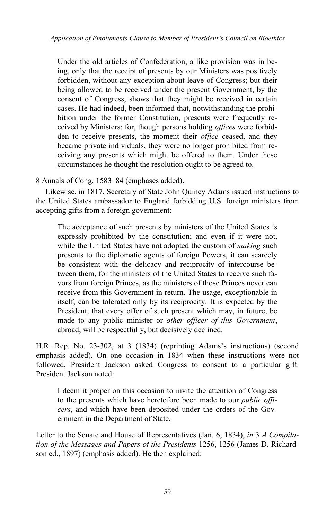Under the old articles of Confederation, a like provision was in being, only that the receipt of presents by our Ministers was positively forbidden, without any exception about leave of Congress; but their being allowed to be received under the present Government, by the consent of Congress, shows that they might be received in certain cases. He had indeed, been informed that, notwithstanding the prohibition under the former Constitution, presents were frequently received by Ministers; for, though persons holding *offices* were forbidden to receive presents, the moment their *office* ceased, and they became private individuals, they were no longer prohibited from receiving any presents which might be offered to them. Under these circumstances he thought the resolution ought to be agreed to.

8 Annals of Cong. 1583–84 (emphases added).

Likewise, in 1817, Secretary of State John Quincy Adams issued instructions to the United States ambassador to England forbidding U.S. foreign ministers from accepting gifts from a foreign government:

The acceptance of such presents by ministers of the United States is expressly prohibited by the constitution; and even if it were not, while the United States have not adopted the custom of *making* such presents to the diplomatic agents of foreign Powers, it can scarcely be consistent with the delicacy and reciprocity of intercourse between them, for the ministers of the United States to receive such favors from foreign Princes, as the ministers of those Princes never can receive from this Government in return. The usage, exceptionable in itself, can be tolerated only by its reciprocity. It is expected by the President, that every offer of such present which may, in future, be made to any public minister or *other officer of this Government*, abroad, will be respectfully, but decisively declined.

H.R. Rep. No. 23-302, at 3 (1834) (reprinting Adams's instructions) (second emphasis added). On one occasion in 1834 when these instructions were not followed, President Jackson asked Congress to consent to a particular gift. President Jackson noted:

I deem it proper on this occasion to invite the attention of Congress to the presents which have heretofore been made to our *public officers*, and which have been deposited under the orders of the Government in the Department of State.

Letter to the Senate and House of Representatives (Jan. 6, 1834), *in* 3 *A Compilation of the Messages and Papers of the Presidents* 1256, 1256 (James D. Richardson ed., 1897) (emphasis added). He then explained: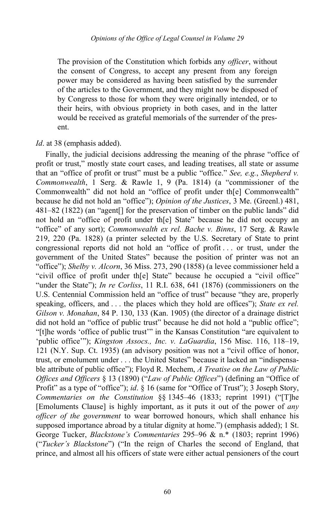The provision of the Constitution which forbids any *officer*, without the consent of Congress, to accept any present from any foreign power may be considered as having been satisfied by the surrender of the articles to the Government, and they might now be disposed of by Congress to those for whom they were originally intended, or to their heirs, with obvious propriety in both cases, and in the latter would be received as grateful memorials of the surrender of the present.

# *Id*. at 38 (emphasis added).

Finally, the judicial decisions addressing the meaning of the phrase "office of profit or trust," mostly state court cases, and leading treatises, all state or assume that an "office of profit or trust" must be a public "office." *See, e.g.*, *Shepherd v. Commonwealth*, 1 Serg. & Rawle 1, 9 (Pa. 1814) (a "commissioner of the Commonwealth" did not hold an "office of profit under th[e] Commonwealth" because he did not hold an "office"); *Opinion of the Justices*, 3 Me. (Greenl.) 481, 481–82 (1822) (an "agent[] for the preservation of timber on the public lands" did not hold an "office of profit under th[e] State" because he did not occupy an "office" of any sort); *Commonwealth ex rel. Bache v. Binns*, 17 Serg. & Rawle 219, 220 (Pa. 1828) (a printer selected by the U.S. Secretary of State to print congressional reports did not hold an "office of profit . . . or trust, under the government of the United States" because the position of printer was not an "office"); *Shelby v. Alcorn*, 36 Miss. 273, 290 (1858) (a levee commissioner held a "civil office of profit under th[e] State" because he occupied a "civil office" "under the State"); *In re Corliss*, 11 R.I. 638, 641 (1876) (commissioners on the U.S. Centennial Commission held an "office of trust" because "they are, properly speaking, officers, and . . . the places which they hold are offices"); *State ex rel. Gilson v. Monahan*, 84 P. 130, 133 (Kan. 1905) (the director of a drainage district did not hold an "office of public trust" because he did not hold a "public office"; "[t]he words 'office of public trust'" in the Kansas Constitution "are equivalent to 'public office'"); *Kingston Assocs., Inc. v. LaGuardia*, 156 Misc. 116, 118–19, 121 (N.Y. Sup. Ct. 1935) (an advisory position was not a "civil office of honor, trust, or emolument under . . . the United States" because it lacked an "indispensable attribute of public office"); Floyd R. Mechem, *A Treatise on the Law of Public Offices and Officers* § 13 (1890) ("*Law of Public Offices*") (defining an "Office of Profit" as a type of "office"); *id.* § 16 (same for "Office of Trust"); 3 Joseph Story, *Commentaries on the Constitution* §§ 1345–46 (1833; reprint 1991) ("[T]he [Emoluments Clause] is highly important, as it puts it out of the power of *any officer of the government* to wear borrowed honours, which shall enhance his supposed importance abroad by a titular dignity at home.") (emphasis added); 1 St. George Tucker, *Blackstone's Commentaries* 295–96 & n.\* (1803; reprint 1996) ("*Tucker's Blackstone*") ("In the reign of Charles the second of England, that prince, and almost all his officers of state were either actual pensioners of the court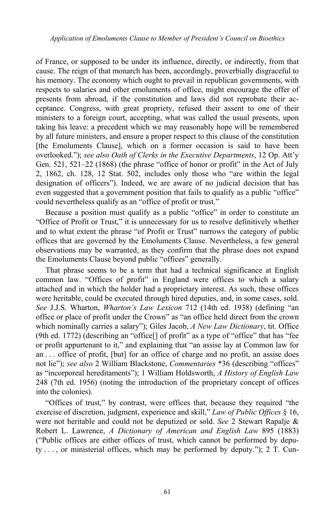of France, or supposed to be under its influence, directly, or indirectly, from that cause. The reign of that monarch has been, accordingly, proverbially disgraceful to his memory. The economy which ought to prevail in republican governments, with respects to salaries and other emoluments of office, might encourage the offer of presents from abroad, if the constitution and laws did not reprobate their acceptance. Congress, with great propriety, refused their assent to one of their ministers to a foreign court, accepting, what was called the usual presents, upon taking his leave: a precedent which we may reasonably hope will be remembered by all future ministers, and ensure a proper respect to this clause of the constitution [the Emoluments Clause], which on a former occasion is said to have been overlooked."); *see also Oath of Clerks in the Executive Departments*, 12 Op. Att'y Gen. 521, 521–22 (1868) (the phrase "office of honor or profit" in the Act of July 2, 1862, ch. 128, 12 Stat. 502, includes only those who "are within the legal designation of officers"). Indeed, we are aware of no judicial decision that has even suggested that a government position that fails to qualify as a public "office" could nevertheless qualify as an "office of profit or trust."

Because a position must qualify as a public "office" in order to constitute an "Office of Profit or Trust," it is unnecessary for us to resolve definitively whether and to what extent the phrase "of Profit or Trust" narrows the category of public offices that are governed by the Emoluments Clause. Nevertheless, a few general observations may be warranted, as they confirm that the phrase does not expand the Emoluments Clause beyond public "offices" generally.

That phrase seems to be a term that had a technical significance at English common law. "Offices of profit" in England were offices to which a salary attached and in which the holder had a proprietary interest. As such, these offices were heritable, could be executed through hired deputies, and, in some cases, sold. *See* J.J.S. Wharton, *Wharton's Law Lexicon* 712 (14th ed. 1938) (defining "an office or place of profit under the Crown" as "an office held direct from the crown which nominally carries a salary"); Giles Jacob, *A New Law Dictionary*, tit. Office (9th ed. 1772) (describing an "office[] of profit" as a type of "office" that has "fee or profit appurtenant to it," and explaining that "an assise lay at Common law for an . . . office of profit, [but] for an office of charge and no profit, an assise does not lie"); *see also* 2 William Blackstone, *Commentaries* \*36 (describing "offices" as "incorporeal hereditaments"); 1 William Holdsworth, *A History of English Law* 248 (7th ed. 1956) (noting the introduction of the proprietary concept of offices into the colonies).

"Offices of trust," by contrast, were offices that, because they required "the exercise of discretion, judgment, experience and skill," *Law of Public Offices* § 16, were not heritable and could not be deputized or sold. *See* 2 Stewart Rapalje & Robert L. Lawrence, *A Dictionary of American and English Law* 895 (1883) ("Public offices are either offices of trust, which cannot be performed by depu $ty \ldots$ , or ministerial offices, which may be performed by deputy."); 2 T. Cun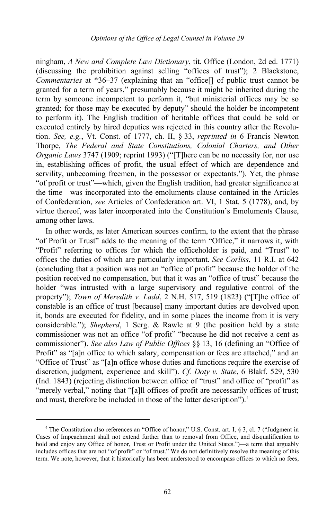ningham, *A New and Complete Law Dictionary*, tit. Office (London, 2d ed. 1771) (discussing the prohibition against selling "offices of trust"); 2 Blackstone, *Commentaries* at \*36–37 (explaining that an "office<sup>[]</sup> of public trust cannot be granted for a term of years," presumably because it might be inherited during the term by someone incompetent to perform it, "but ministerial offices may be so granted; for those may be executed by deputy" should the holder be incompetent to perform it). The English tradition of heritable offices that could be sold or executed entirely by hired deputies was rejected in this country after the Revolution. *See, e.g.*, Vt. Const. of 1777, ch. II, § 33, *reprinted in* 6 Francis Newton Thorpe, *The Federal and State Constitutions, Colonial Charters, and Other Organic Laws* 3747 (1909; reprint 1993) ("[T]here can be no necessity for, nor use in, establishing offices of profit, the usual effect of which are dependence and servility, unbecoming freemen, in the possessor or expectants."). Yet, the phrase "of profit or trust"—which, given the English tradition, had greater significance at the time—was incorporated into the emoluments clause contained in the Articles of Confederation, *see* Articles of Confederation art. VI, 1 Stat. 5 (1778), and, by virtue thereof, was later incorporated into the Constitution's Emoluments Clause, among other laws.

In other words, as later American sources confirm, to the extent that the phrase "of Profit or Trust" adds to the meaning of the term "Office," it narrows it, with "Profit" referring to offices for which the officeholder is paid, and "Trust" to offices the duties of which are particularly important. *See Corliss*, 11 R.I. at 642 (concluding that a position was not an "office of profit" because the holder of the position received no compensation, but that it was an "office of trust" because the holder "was intrusted with a large supervisory and regulative control of the property"); *Town of Meredith v. Ladd*, 2 N.H. 517, 519 (1823) ("[T]he office of constable is an office of trust [because] many important duties are devolved upon it, bonds are executed for fidelity, and in some places the income from it is very considerable."); *Shepherd*, 1 Serg. & Rawle at 9 (the position held by a state commissioner was not an office "of profit" "because he did not receive a cent as commissioner"). *See also Law of Public Offices* §§ 13, 16 (defining an "Office of Profit" as "[a]n office to which salary, compensation or fees are attached," and an "Office of Trust" as "[a]n office whose duties and functions require the exercise of discretion, judgment, experience and skill"). *Cf. Doty v. State*, 6 Blakf. 529, 530 (Ind. 1843) (rejecting distinction between office of "trust" and office of "profit" as "merely verbal," noting that "[a]ll offices of profit are necessarily offices of trust; and must, therefore be included in those of the latter description").<sup>[4](#page-7-0)</sup>

<span id="page-7-0"></span><sup>4</sup> The Constitution also references an "Office of honor," U.S. Const. art. I, § 3, cl. 7 ("Judgment in Cases of Impeachment shall not extend further than to removal from Office, and disqualification to hold and enjoy any Office of honor, Trust or Profit under the United States.")—a term that arguably includes offices that are not "of profit" or "of trust." We do not definitively resolve the meaning of this term. We note, however, that it historically has been understood to encompass offices to which no fees,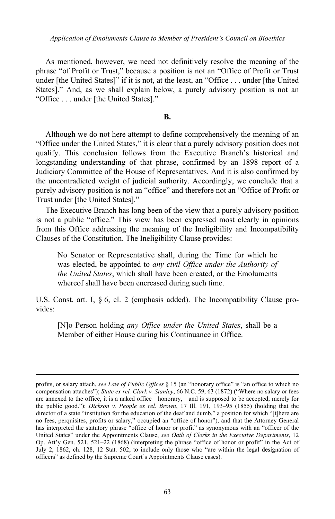*Application of Emoluments Clause to Member of President's Council on Bioethics*

As mentioned, however, we need not definitively resolve the meaning of the phrase "of Profit or Trust," because a position is not an "Office of Profit or Trust under [the United States]" if it is not, at the least, an "Office . . . under [the United States]." And, as we shall explain below, a purely advisory position is not an "Office . . . under [the United States]."

# **B.**

Although we do not here attempt to define comprehensively the meaning of an "Office under the United States," it is clear that a purely advisory position does not qualify. This conclusion follows from the Executive Branch's historical and longstanding understanding of that phrase, confirmed by an 1898 report of a Judiciary Committee of the House of Representatives. And it is also confirmed by the uncontradicted weight of judicial authority. Accordingly, we conclude that a purely advisory position is not an "office" and therefore not an "Office of Profit or Trust under [the United States]."

The Executive Branch has long been of the view that a purely advisory position is not a public "office." This view has been expressed most clearly in opinions from this Office addressing the meaning of the Ineligibility and Incompatibility Clauses of the Constitution. The Ineligibility Clause provides:

No Senator or Representative shall, during the Time for which he was elected, be appointed to *any civil Office under the Authority of the United States*, which shall have been created, or the Emoluments whereof shall have been encreased during such time.

U.S. Const. art. I, § 6, cl. 2 (emphasis added). The Incompatibility Clause provides:

[N]o Person holding *any Office under the United States*, shall be a Member of either House during his Continuance in Office.

-

profits, or salary attach, *see Law of Public Offices* § 15 (an "honorary office" is "an office to which no compensation attaches"); *State ex rel. Clark v. Stanley*, 66 N.C. 59, 63 (1872) ("Where no salary or fees are annexed to the office, it is a naked office—honorary,—and is supposed to be accepted, merely for the public good."); *Dickson v. People ex rel. Brown*, 17 Ill. 191, 193–95 (1855) (holding that the director of a state "institution for the education of the deaf and dumb," a position for which "[t]here are no fees, perquisites, profits or salary," occupied an "office of honor"), and that the Attorney General has interpreted the statutory phrase "office of honor or profit" as synonymous with an "officer of the United States" under the Appointments Clause, *see Oath of Clerks in the Executive Departments*, 12 Op. Att'y Gen. 521, 521–22 (1868) (interpreting the phrase "office of honor or profit" in the Act of July 2, 1862, ch. 128, 12 Stat. 502, to include only those who "are within the legal designation of officers" as defined by the Supreme Court's Appointments Clause cases).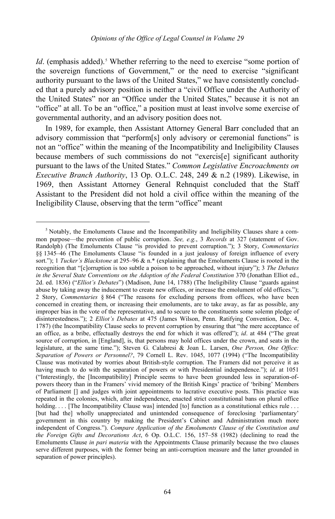*Id.* (emphasis added).<sup>[5](#page-9-0)</sup> Whether referring to the need to exercise "some portion of the sovereign functions of Government," or the need to exercise "significant authority pursuant to the laws of the United States," we have consistently concluded that a purely advisory position is neither a "civil Office under the Authority of the United States" nor an "Office under the United States," because it is not an "office" at all. To be an "office," a position must at least involve some exercise of governmental authority, and an advisory position does not.

In 1989, for example, then Assistant Attorney General Barr concluded that an advisory commission that "perform[s] only advisory or ceremonial functions" is not an "office" within the meaning of the Incompatibility and Ineligibility Clauses because members of such commissions do not "exercis[e] significant authority pursuant to the laws of the United States." *Common Legislative Encroachments on Executive Branch Authority*, 13 Op. O.L.C. 248, 249 & n.2 (1989). Likewise, in 1969, then Assistant Attorney General Rehnquist concluded that the Staff Assistant to the President did not hold a civil office within the meaning of the Ineligibility Clause, observing that the term "office" meant

<span id="page-9-0"></span><sup>5</sup> Notably, the Emoluments Clause and the Incompatibility and Ineligibility Clauses share a common purpose—the prevention of public corruption. *See, e.g.*, 3 *Records* at 327 (statement of Gov. Randolph) (The Emoluments Clause "is provided to prevent corruption."); 3 Story, *Commentaries* §§ 1345–46 (The Emoluments Clause "is founded in a just jealousy of foreign influence of every sort."); 1 *Tucker's Blackstone* at 295–96 & n.\* (explaining that the Emoluments Clause is rooted in the recognition that "[c]orruption is too subtle a poison to be approached, without injury"); 3 *The Debates in the Several State Conventions on the Adoption of the Federal Constitution* 370 (Jonathan Elliot ed., 2d. ed. 1836) ("*Elliot's Debates*") (Madison, June 14, 1788) (The Ineligibility Clause "guards against abuse by taking away the inducement to create new offices, or increase the emolument of old offices."); 2 Story, *Commentaries* § 864 ("The reasons for excluding persons from offices, who have been concerned in creating them, or increasing their emoluments, are to take away, as far as possible, any improper bias in the vote of the representative, and to secure to the constituents some solemn pledge of disinterestedness."); 2 *Elliot's Debates* at 475 (James Wilson, Penn. Ratifying Convention, Dec. 4, 1787) (the Incompatibility Clause seeks to prevent corruption by ensuring that "the mere acceptance of an office, as a bribe, effectually destroys the end for which it was offered"); *id*. at 484 ("The great source of corruption, in [England], is, that persons may hold offices under the crown, and seats in the legislature, at the same time."); Steven G. Calabresi & Joan L. Larsen, *One Person, One Office: Separation of Powers or Personnel?*, 79 Cornell L. Rev. 1045, 1077 (1994) ("The Incompatibility Clause was motivated by worries about British-style corruption. The Framers did not perceive it as having much to do with the separation of powers or with Presidential independence."); *id*. at 1051 ("Interestingly, the [Incompatibility] Principle seems to have been grounded less in separation-ofpowers theory than in the Framers' vivid memory of the British Kings' practice of 'bribing' Members of Parliament [] and judges with joint appointments to lucrative executive posts. This practice was repeated in the colonies, which, after independence, enacted strict constitutional bans on plural office holding. . . . [The Incompatibility Clause was] intended [to] function as a constitutional ethics rule . . . [but had the] wholly unappreciated and unintended consequence of foreclosing 'parliamentary' government in this country by making the President's Cabinet and Administration much more independent of Congress."). *Compare Application of the Emoluments Clause of the Constitution and the Foreign Gifts and Decorations Act*, 6 Op. O.L.C. 156, 157–58 (1982) (declining to read the Emoluments Clause *in pari materia* with the Appointments Clause primarily because the two clauses serve different purposes, with the former being an anti-corruption measure and the latter grounded in separation of power principles).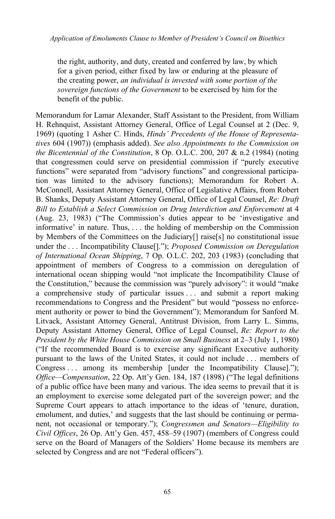the right, authority, and duty, created and conferred by law, by which for a given period, either fixed by law or enduring at the pleasure of the creating power, *an individual is invested with some portion of the sovereign functions of the Government* to be exercised by him for the benefit of the public.

Memorandum for Lamar Alexander, Staff Assistant to the President, from William H. Rehnquist, Assistant Attorney General, Office of Legal Counsel at 2 (Dec. 9, 1969) (quoting 1 Asher C. Hinds, *Hinds' Precedents of the House of Representatives* 604 (1907)) (emphasis added). *See also Appointments to the Commission on the Bicentennial of the Constitution*, 8 Op. O.L.C. 200, 207 & n.2 (1984) (noting that congressmen could serve on presidential commission if "purely executive functions" were separated from "advisory functions" and congressional participation was limited to the advisory functions); Memorandum for Robert A. McConnell, Assistant Attorney General, Office of Legislative Affairs, from Robert B. Shanks, Deputy Assistant Attorney General, Office of Legal Counsel, *Re: Draft Bill to Establish a Select Commission on Drug Interdiction and Enforcement* at 4 (Aug. 23, 1983) ("The Commission's duties appear to be 'investigative and informative' in nature. Thus, . . . the holding of membership on the Commission by Members of the Committees on the Judiciary[] raise[s] no constitutional issue under the . . . Incompatibility Clause[]."); *Proposed Commission on Deregulation of International Ocean Shipping*, 7 Op. O.L.C. 202, 203 (1983) (concluding that appointment of members of Congress to a commission on deregulation of international ocean shipping would "not implicate the Incompatibility Clause of the Constitution," because the commission was "purely advisory": it would "make a comprehensive study of particular issues . . . and submit a report making recommendations to Congress and the President" but would "possess no enforcement authority or power to bind the Government"); Memorandum for Sanford M. Litvack, Assistant Attorney General, Antitrust Division, from Larry L. Simms, Deputy Assistant Attorney General, Office of Legal Counsel, *Re: Report to the President by the White House Commission on Small Business* at 2–3 (July 1, 1980) ("If the recommended Board is to exercise any significant Executive authority pursuant to the laws of the United States, it could not include . . . members of Congress ... among its membership [under the Incompatibility Clause]."); *Office—Compensation*, 22 Op. Att'y Gen. 184, 187 (1898) ("The legal definitions of a public office have been many and various. The idea seems to prevail that it is an employment to exercise some delegated part of the sovereign power; and the Supreme Court appears to attach importance to the ideas of 'tenure, duration, emolument, and duties,' and suggests that the last should be continuing or permanent, not occasional or temporary."); *Congressmen and Senators—Eligibility to Civil Offices*, 26 Op. Att'y Gen. 457, 458–59 (1907) (members of Congress could serve on the Board of Managers of the Soldiers' Home because its members are selected by Congress and are not "Federal officers").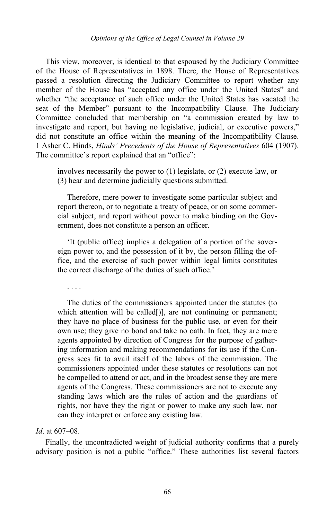This view, moreover, is identical to that espoused by the Judiciary Committee of the House of Representatives in 1898. There, the House of Representatives passed a resolution directing the Judiciary Committee to report whether any member of the House has "accepted any office under the United States" and whether "the acceptance of such office under the United States has vacated the seat of the Member" pursuant to the Incompatibility Clause. The Judiciary Committee concluded that membership on "a commission created by law to investigate and report, but having no legislative, judicial, or executive powers," did not constitute an office within the meaning of the Incompatibility Clause. 1 Asher C. Hinds, *Hinds' Precedents of the House of Representatives* 604 (1907). The committee's report explained that an "office":

involves necessarily the power to (1) legislate, or (2) execute law, or (3) hear and determine judicially questions submitted.

Therefore, mere power to investigate some particular subject and report thereon, or to negotiate a treaty of peace, or on some commercial subject, and report without power to make binding on the Government, does not constitute a person an officer.

'It (public office) implies a delegation of a portion of the sovereign power to, and the possession of it by, the person filling the office, and the exercise of such power within legal limits constitutes the correct discharge of the duties of such office.'

. . . .

The duties of the commissioners appointed under the statutes (to which attention will be called[)], are not continuing or permanent; they have no place of business for the public use, or even for their own use; they give no bond and take no oath. In fact, they are mere agents appointed by direction of Congress for the purpose of gathering information and making recommendations for its use if the Congress sees fit to avail itself of the labors of the commission. The commissioners appointed under these statutes or resolutions can not be compelled to attend or act, and in the broadest sense they are mere agents of the Congress. These commissioners are not to execute any standing laws which are the rules of action and the guardians of rights, nor have they the right or power to make any such law, nor can they interpret or enforce any existing law.

### *Id*. at 607–08.

Finally, the uncontradicted weight of judicial authority confirms that a purely advisory position is not a public "office." These authorities list several factors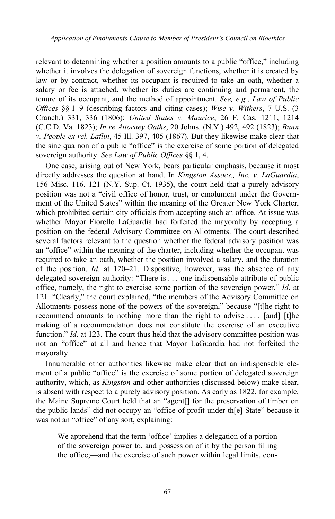relevant to determining whether a position amounts to a public "office," including whether it involves the delegation of sovereign functions, whether it is created by law or by contract, whether its occupant is required to take an oath, whether a salary or fee is attached, whether its duties are continuing and permanent, the tenure of its occupant, and the method of appointment. *See, e.g.*, *Law of Public Offices* §§ 1–9 (describing factors and citing cases); *Wise v. Withers*, 7 U.S. (3 Cranch.) 331, 336 (1806); *United States v. Maurice*, 26 F. Cas. 1211, 1214 (C.C.D. Va. 1823); *In re Attorney Oaths*, 20 Johns. (N.Y.) 492, 492 (1823); *Bunn v. People ex rel. Laflin*, 45 Ill. 397, 405 (1867). But they likewise make clear that the sine qua non of a public "office" is the exercise of some portion of delegated sovereign authority. *See Law of Public Offices* §§ 1, 4.

One case, arising out of New York, bears particular emphasis, because it most directly addresses the question at hand. In *Kingston Assocs., Inc. v. LaGuardia*, 156 Misc. 116, 121 (N.Y. Sup. Ct. 1935), the court held that a purely advisory position was not a "civil office of honor, trust, or emolument under the Government of the United States" within the meaning of the Greater New York Charter, which prohibited certain city officials from accepting such an office. At issue was whether Mayor Fiorello LaGuardia had forfeited the mayoralty by accepting a position on the federal Advisory Committee on Allotments. The court described several factors relevant to the question whether the federal advisory position was an "office" within the meaning of the charter, including whether the occupant was required to take an oath, whether the position involved a salary, and the duration of the position. *Id*. at 120–21. Dispositive, however, was the absence of any delegated sovereign authority: "There is . . . one indispensable attribute of public office, namely, the right to exercise some portion of the sovereign power." *Id*. at 121. "Clearly," the court explained, "the members of the Advisory Committee on Allotments possess none of the powers of the sovereign," because "[t]he right to recommend amounts to nothing more than the right to advise . . . . [and] [t]he making of a recommendation does not constitute the exercise of an executive function." *Id.* at 123. The court thus held that the advisory committee position was not an "office" at all and hence that Mayor LaGuardia had not forfeited the mayoralty.

Innumerable other authorities likewise make clear that an indispensable element of a public "office" is the exercise of some portion of delegated sovereign authority, which, as *Kingston* and other authorities (discussed below) make clear, is absent with respect to a purely advisory position. As early as 1822, for example, the Maine Supreme Court held that an "agent[] for the preservation of timber on the public lands" did not occupy an "office of profit under th[e] State" because it was not an "office" of any sort, explaining:

We apprehend that the term 'office' implies a delegation of a portion of the sovereign power to, and possession of it by the person filling the office;—and the exercise of such power within legal limits, con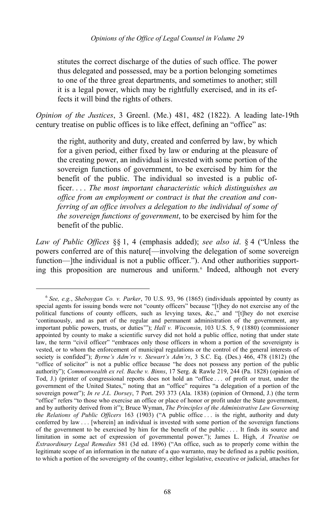stitutes the correct discharge of the duties of such office. The power thus delegated and possessed, may be a portion belonging sometimes to one of the three great departments, and sometimes to another; still it is a legal power, which may be rightfully exercised, and in its effects it will bind the rights of others.

*Opinion of the Justices*, 3 Greenl. (Me.) 481, 482 (1822). A leading late-19th century treatise on public offices is to like effect, defining an "office" as:

the right, authority and duty, created and conferred by law, by which for a given period, either fixed by law or enduring at the pleasure of the creating power, an individual is invested with some portion of the sovereign functions of government, to be exercised by him for the benefit of the public. The individual so invested is a public officer. . . . *The most important characteristic which distinguishes an office from an employment or contract is that the creation and conferring of an office involves a delegation to the individual of some of the sovereign functions of government*, to be exercised by him for the benefit of the public.

*Law of Public Offices* §§ 1, 4 (emphasis added); *see also id*. § 4 ("Unless the powers conferred are of this nature[—involving the delegation of some sovereign function—lthe individual is not a public officer."). And other authorities support-ing this proposition are numerous and uniform.<sup>[6](#page-13-0)</sup> Indeed, although not every

-

<span id="page-13-0"></span><sup>6</sup> *See, e.g.*, *Sheboygan Co. v. Parker*, 70 U.S. 93, 96 (1865) (individuals appointed by county as special agents for issuing bonds were not "county officers" because "[t]hey do not exercise any of the political functions of county officers, such as levying taxes, &c.," and "[t]hey do not exercise 'continuously, and as part of the regular and permanent administration of the government, any important public powers, trusts, or duties'"); *Hall v. Wisconsin*, 103 U.S. 5, 9 (1880) (commissioner appointed by county to make a scientific survey did not hold a public office, noting that under state law, the term "civil officer" "embraces only those officers in whom a portion of the sovereignty is vested, or to whom the enforcement of municipal regulations or the control of the general interests of society is confided"); *Byrne's Adm'rs v. Stewart's Adm'rs*, 3 S.C. Eq. (Des.) 466, 478 (1812) (the "office of solicitor" is not a public office because "he does not possess any portion of the public authority"); *Commonwealth ex rel. Bache v. Binns*, 17 Serg. & Rawle 219, 244 (Pa. 1828) (opinion of Tod, J.) (printer of congressional reports does not hold an "office . . . of profit or trust, under the government of the United States," noting that an "office" requires "a delegation of a portion of the sovereign power"); *In re J.L. Dorsey*, 7 Port. 293 373 (Ala. 1838) (opinion of Ormond, J.) (the term "office" refers "to those who exercise an office or place of honor or profit under the State government, and by authority derived from it"); Bruce Wyman, *The Principles of the Administrative Law Governing the Relations of Public Officers* 163 (1903) ("A public office . . . is the right, authority and duty conferred by law . . . [wherein] an individual is invested with some portion of the sovereign functions of the government to be exercised by him for the benefit of the public . . . . It finds its source and limitation in some act of expression of governmental power."); James L. High, *A Treatise on Extraordinary Legal Remedies* 581 (3d ed. 1896) ("An office, such as to properly come within the legitimate scope of an information in the nature of a quo warranto, may be defined as a public position, to which a portion of the sovereignty of the country, either legislative, executive or judicial, attaches for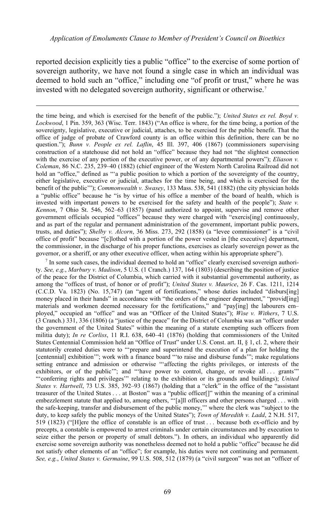reported decision explicitly ties a public "office" to the exercise of some portion of sovereign authority, we have not found a single case in which an individual was deemed to hold such an "office," including one "of profit or trust," where he was invested with no delegated sovereign authority, significant or otherwise.[7](#page-14-0)

-

the time being, and which is exercised for the benefit of the public."); *United States ex rel. Boyd v. Lockwood*, 1 Pin. 359, 363 (Wisc. Terr. 1843) ("An office is where, for the time being, a portion of the sovereignty, legislative, executive or judicial, attaches, to be exercised for the public benefit. That the office of judge of probate of Crawford county is an office within this definition, there can be no question."); *Bunn v. People ex rel. Laflin*, 45 Ill. 397, 406 (1867) (commissioners supervising construction of a statehouse did not hold an "office" because they had not "the slightest connection with the exercise of any portion of the executive power, or of any departmental powers"); *Eliason v. Coleman*, 86 N.C. 235, 239–40 (1882) (chief engineer of the Western North Carolina Railroad did not hold an "office," defined as "'a public position to which a portion of the sovereignty of the country, either legislative, executive or judicial, attaches for the time being, and which is exercised for the benefit of the public'"); *Commonwealth v. Swasey*, 133 Mass. 538, 541 (1882) (the city physician holds a "public office" because he "is by virtue of his office a member of the board of health, which is invested with important powers to be exercised for the safety and health of the people"); *State v. Kennon*, 7 Ohio St. 546, 562–63 (1857) (panel authorized to appoint, supervise and remove other government officials occupied "offices" because they were charged with "exercis[ing] continuously, and as part of the regular and permanent administration of the government, important public powers, trusts, and duties"); *Shelby v. Alcorn*, 36 Miss. 273, 292 (1858) (a "levee commissioner" is a "civil office of profit" because "[c]lothed with a portion of the power vested in [the executive] department, the commissioner, in the discharge of his proper functions, exercises as clearly sovereign power as the governor, or a sheriff, or any other executive officer, when acting within his appropriate sphere").

<span id="page-14-0"></span> $<sup>7</sup>$  In some such cases, the individual deemed to hold an "office" clearly exercised sovereign authori-</sup> ty. *See, e.g.*, *Marbury v. Madison*, 5 U.S. (1 Cranch.) 137, 164 (1803) (describing the position of justice of the peace for the District of Columbia, which carried with it substantial governmental authority, as among the "offices of trust, of honor or of profit"); *United States v. Maurice*, 26 F. Cas. 1211, 1214 (C.C.D. Va. 1823) (No. 15,747) (an "agent of fortifications," whose duties included "disburs[ing] money placed in their hands" in accordance with "the orders of the engineer department," "provid[ing] materials and workmen deemed necessary for the fortifications," and "payling] the labourers em– ployed," occupied an "office" and was an "Officer of the United States"); *Wise v. Withers*, 7 U.S. (3 Cranch.) 331, 336 (1806) (a "justice of the peace" for the District of Columbia was an "officer under the government of the United States" within the meaning of a statute exempting such officers from militia duty); *In re Corliss*, 11 R.I. 638, 640–41 (1876) (holding that commissioners of the United States Centennial Commission held an "Office of Trust" under U.S. Const. art. II, § 1, cl. 2, where their statutorily created duties were to "'prepare and superintend the execution of a plan for holding the [centennial] exhibition'"; work with a finance board "'to raise and disburse funds'"; make regulations setting entrance and admission or otherwise "'affecting the rights privileges, or interests of the exhibitors, or of the public'"; and "thave power to control, change, or revoke all ... grants'" "'conferring rights and privileges'" relating to the exhibition or its grounds and buildings); *United States v. Hartwell*, 73 U.S. 385, 392–93 (1867) (holding that a "clerk" in the office of the "assistant treasurer of the United States . . . at Boston" was a "public officer[]" within the meaning of a criminal embezzlement statute that applied to, among others, "'[a]ll officers and other persons charged . . . with the safe-keeping, transfer and disbursement of the public money,'" where the clerk was "subject to the duty, to keep safely the public moneys of the United States"); *Town of Meredith v. Ladd*, 2 N.H. 517, 519 (1823) ("[H]ere the office of constable is an office of trust . . . because both ex-officio and by precepts, a constable is empowered to arrest criminals under certain circumstances and by execution to seize either the person or property of small debtors."). In others, an individual who apparently did exercise some sovereign authority was nonetheless deemed not to hold a public "office" because he did not satisfy other elements of an "office"; for example, his duties were not continuing and permanent. *See, e.g.*, *United States v. Germaine*, 99 U.S. 508, 512 (1879) (a "civil surgeon" was not an "officer of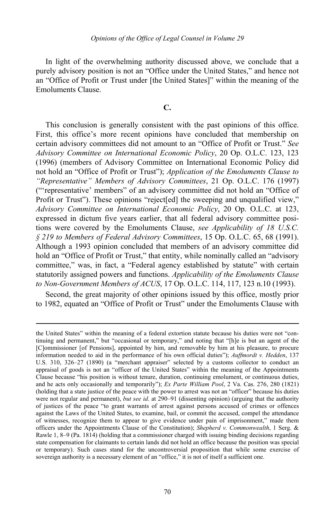In light of the overwhelming authority discussed above, we conclude that a purely advisory position is not an "Office under the United States," and hence not an "Office of Profit or Trust under [the United States]" within the meaning of the Emoluments Clause.

# **C.**

This conclusion is generally consistent with the past opinions of this office. First, this office's more recent opinions have concluded that membership on certain advisory committees did not amount to an "Office of Profit or Trust." *See Advisory Committee on International Economic Policy*, 20 Op. O.L.C. 123, 123 (1996) (members of Advisory Committee on International Economic Policy did not hold an "Office of Profit or Trust"); *Application of the Emoluments Clause to "Representative" Members of Advisory Committees*, 21 Op. O.L.C. 176 (1997) ("'representative' members" of an advisory committee did not hold an "Office of Profit or Trust"). These opinions "reject[ed] the sweeping and unqualified view," *Advisory Committee on International Economic Policy*, 20 Op. O.L.C. at 123, expressed in dictum five years earlier, that all federal advisory committee positions were covered by the Emoluments Clause, *see Applicability of 18 U.S.C. § 219 to Members of Federal Advisory Committees*, 15 Op. O.L.C. 65, 68 (1991). Although a 1993 opinion concluded that members of an advisory committee did hold an "Office of Profit or Trust," that entity, while nominally called an "advisory committee," was, in fact, a "Federal agency established by statute" with certain statutorily assigned powers and functions. *Applicability of the Emoluments Clause to Non-Government Members of ACUS*, 17 Op. O.L.C. 114, 117, 123 n.10 (1993).

Second, the great majority of other opinions issued by this office, mostly prior to 1982, equated an "Office of Profit or Trust" under the Emoluments Clause with

the United States" within the meaning of a federal extortion statute because his duties were not "continuing and permanent," but "occasional or temporary," and noting that "[h]e is but an agent of the [C]ommissioner [of Pensions], appointed by him, and removable by him at his pleasure, to procure information needed to aid in the performance of his own official duties"); *Auffmordt v. Hedden*, 137 U.S. 310, 326–27 (1890) (a "merchant appraiser" selected by a customs collector to conduct an appraisal of goods is not an "officer of the United States" within the meaning of the Appointments Clause because "his position is without tenure, duration, continuing emolument, or continuous duties, and he acts only occasionally and temporarily"); *Ex Parte William Pool*, 2 Va. Cas. 276, 280 (1821) (holding that a state justice of the peace with the power to arrest was not an "officer" because his duties were not regular and permanent), *but see id*. at 290–91 (dissenting opinion) (arguing that the authority of justices of the peace "to grant warrants of arrest against persons accused of crimes or offences against the Laws of the United States, to examine, bail, or commit the accused, compel the attendance of witnesses, recognize them to appear to give evidence under pain of imprisonment," made them officers under the Appointments Clause of the Constitution); *Shepherd v. Commonwealth*, 1 Serg. & Rawle 1, 8–9 (Pa. 1814) (holding that a commissioner charged with issuing binding decisions regarding state compensation for claimants to certain lands did not hold an office because the position was special or temporary). Such cases stand for the uncontroversial proposition that while some exercise of sovereign authority is a necessary element of an "office," it is not of itself a sufficient one.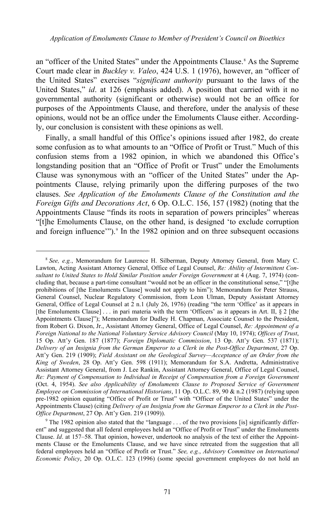an "officer of the United States" under the Appointments Clause.<sup>[8](#page-16-0)</sup> As the Supreme Court made clear in *Buckley v. Valeo*, 424 U.S. 1 (1976), however, an "officer of the United States" exercises "*significant authority* pursuant to the laws of the United States," *id*. at 126 (emphasis added). A position that carried with it no governmental authority (significant or otherwise) would not be an office for purposes of the Appointments Clause, and therefore, under the analysis of these opinions, would not be an office under the Emoluments Clause either. Accordingly, our conclusion is consistent with these opinions as well.

Finally, a small handful of this Office's opinions issued after 1982, do create some confusion as to what amounts to an "Office of Profit or Trust." Much of this confusion stems from a 1982 opinion, in which we abandoned this Office's longstanding position that an "Office of Profit or Trust" under the Emoluments Clause was synonymous with an "officer of the United States" under the Appointments Clause, relying primarily upon the differing purposes of the two clauses. *See Application of the Emoluments Clause of the Constitution and the Foreign Gifts and Decorations Act*, 6 Op. O.L.C. 156, 157 (1982) (noting that the Appointments Clause "finds its roots in separation of powers principles" whereas "[t]he Emoluments Clause, on the other hand, is designed 'to exclude corruption and foreign influence"").<sup>[9](#page-16-1)</sup> In the 1982 opinion and on three subsequent occasions

<span id="page-16-0"></span><sup>8</sup> *See, e.g.*, Memorandum for Laurence H. Silberman, Deputy Attorney General, from Mary C. Lawton, Acting Assistant Attorney General, Office of Legal Counsel, *Re: Ability of Intermittent Consultant to United States to Hold Similar Position under Foreign Government* at 4 (Aug. 7, 1974) (concluding that, because a part-time consultant "would not be an officer in the constitutional sense," "[t]he prohibitions of [the Emoluments Clause] would not apply to him"); Memorandum for Peter Strauss, General Counsel, Nuclear Regulatory Commission, from Leon Ulman, Deputy Assistant Attorney General, Office of Legal Counsel at 2 n.1 (July 26, 1976) (reading "the term 'Office' as it appears in [the Emoluments Clause] . . . in pari materia with the term 'Officers' as it appears in Art. II, § 2 [the Appointments Clause]"); Memorandum for Dudley H. Chapman, Associate Counsel to the President, from Robert G. Dixon, Jr., Assistant Attorney General, Office of Legal Counsel, *Re: Appointment of a Foreign National to the National Voluntary Service Advisory Council* (May 10, 1974); *Offices of Trust*, 15 Op. Att'y Gen. 187 (1877); *Foreign Diplomatic Commission*, 13 Op. Att'y Gen. 537 (1871); *Delivery of an Insignia from the German Emperor to a Clerk in the Post-Office Department*, 27 Op. Att'y Gen. 219 (1909); *Field Assistant on the Geological Survey—Acceptance of an Order from the King of Sweden*, 28 Op. Att'y Gen. 598 (1911); Memorandum for S.A. Andretta, Administrative Assistant Attorney General, from J. Lee Rankin, Assistant Attorney General, Office of Legal Counsel, *Re: Payment of Compensation to Individual in Receipt of Compensation from a Foreign Government* (Oct. 4, 1954). *See also Applicability of Emoluments Clause to Proposed Service of Government Employee on Commission of International Historians*, 11 Op. O.L.C. 89, 90 & n.2 (1987) (relying upon pre-1982 opinion equating "Office of Profit or Trust" with "Officer of the United States" under the Appointments Clause) (citing *Delivery of an Insignia from the German Emperor to a Clerk in the Post-Office Department*, 27 Op. Att'y Gen. 219 (1909)).

<span id="page-16-1"></span><sup>&</sup>lt;sup>9</sup> The 1982 opinion also stated that the "language . . . of the two provisions [is] significantly different" and suggested that all federal employees held an "Office of Profit or Trust" under the Emoluments Clause. *Id*. at 157–58. That opinion, however, undertook no analysis of the text of either the Appointments Clause or the Emoluments Clause, and we have since retreated from the suggestion that all federal employees held an "Office of Profit or Trust." *See, e.g.*, *Advisory Committee on International Economic Policy*, 20 Op. O.L.C. 123 (1996) (some special government employees do not hold an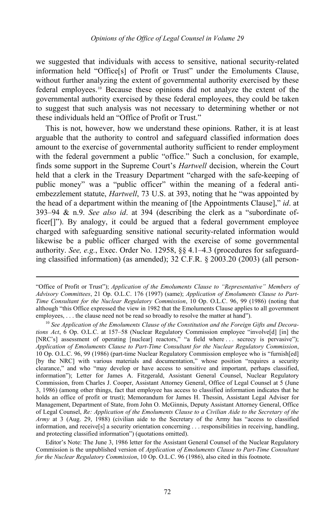we suggested that individuals with access to sensitive, national security-related information held "Office[s] of Profit or Trust" under the Emoluments Clause, without further analyzing the extent of governmental authority exercised by these federal employees.[10](#page-17-0) Because these opinions did not analyze the extent of the governmental authority exercised by these federal employees, they could be taken to suggest that such analysis was not necessary to determining whether or not these individuals held an "Office of Profit or Trust."

This is not, however, how we understand these opinions. Rather, it is at least arguable that the authority to control and safeguard classified information does amount to the exercise of governmental authority sufficient to render employment with the federal government a public "office." Such a conclusion, for example, finds some support in the Supreme Court's *Hartwell* decision, wherein the Court held that a clerk in the Treasury Department "charged with the safe-keeping of public money" was a "public officer" within the meaning of a federal antiembezzlement statute, *Hartwell*, 73 U.S. at 393, noting that he "was appointed by the head of a department within the meaning of [the Appointments Clause]," *id*. at 393–94 & n.9. *See also id*. at 394 (describing the clerk as a "subordinate officer[]"). By analogy, it could be argued that a federal government employee charged with safeguarding sensitive national security-related information would likewise be a public officer charged with the exercise of some governmental authority. *See, e.g.*, Exec. Order No. 12958, §§ 4.1–4.3 (procedures for safeguarding classified information) (as amended); 32 C.F.R. § 2003.20 (2003) (all person-

-

Editor's Note: The June 3, 1986 letter for the Assistant General Counsel of the Nuclear Regulatory Commission is the unpublished version of *Application of Emoluments Clause to Part-Time Consultant for the Nuclear Regulatory Commission*, 10 Op. O.L.C. 96 (1986), also cited in this footnote.

<sup>&</sup>quot;Office of Profit or Trust"); *Application of the Emoluments Clause to "Representative" Members of Advisory Committees*, 21 Op. O.L.C. 176 (1997) (same); *Application of Emoluments Clause to Part-Time Consultant for the Nuclear Regulatory Commission*, 10 Op. O.L.C. 96, 99 (1986) (noting that although "this Office expressed the view in 1982 that the Emoluments Clause applies to all government employees, . . . the clause need not be read so broadly to resolve the matter at hand").

<span id="page-17-0"></span><sup>&</sup>lt;sup>10</sup> See Application of the Emoluments Clause of the Constitution and the Foreign Gifts and Decora*tions Act*, 6 Op. O.L.C. at 157–58 (Nuclear Regulatory Commission employee "involve[d] [in] the [NRC's] assessment of operating [nuclear] reactors," "a field where ... secrecy is pervasive"); *Application of Emoluments Clause to Part-Time Consultant for the Nuclear Regulatory Commission*, 10 Op. O.L.C. 96, 99 (1986) (part-time Nuclear Regulatory Commission employee who is "furnish[ed] [by the NRC] with various materials and documentation," whose position "requires a security clearance," and who "may develop or have access to sensitive and important, perhaps classified, information"); Letter for James A. Fitzgerald, Assistant General Counsel, Nuclear Regulatory Commission, from Charles J. Cooper, Assistant Attorney General, Office of Legal Counsel at 5 (June 3, 1986) (among other things, fact that employee has access to classified information indicates that he holds an office of profit or trust); Memorandum for James H. Thessin, Assistant Legal Adviser for Management, Department of State, from John O. McGinnis, Deputy Assistant Attorney General, Office of Legal Counsel, *Re: Application of the Emoluments Clause to a Civilian Aide to the Secretary of the Army* at 3 (Aug. 29, 1988) (civilian aide to the Secretary of the Army has "access to classified information, and receive[s] a security orientation concerning . . . responsibilities in receiving, handling, and protecting classified information") (quotations omitted).